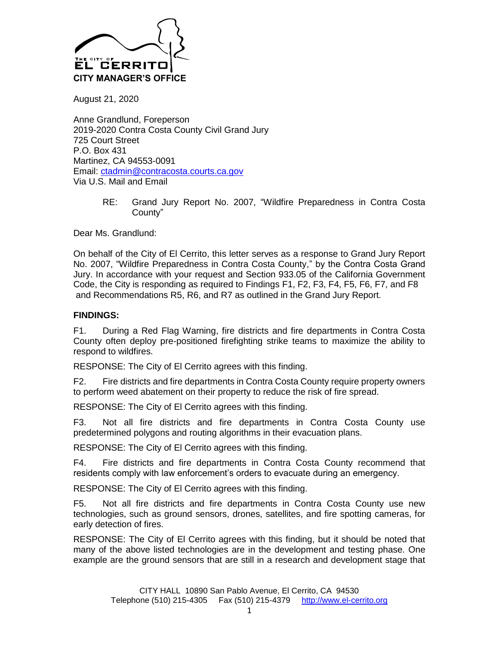

August 21, 2020

Anne Grandlund, Foreperson 2019-2020 Contra Costa County Civil Grand Jury 725 Court Street P.O. Box 431 Martinez, CA 94553-0091 Email: [ctadmin@contracosta.courts.ca.gov](mailto:ctadmin@contracosta.courts.ca.gov) Via U.S. Mail and Email

> RE: Grand Jury Report No. 2007, "Wildfire Preparedness in Contra Costa County"

Dear Ms. Grandlund:

On behalf of the City of El Cerrito, this letter serves as a response to Grand Jury Report No. 2007, "Wildfire Preparedness in Contra Costa County," by the Contra Costa Grand Jury. In accordance with your request and Section 933.05 of the California Government Code, the City is responding as required to Findings F1, F2, F3, F4, F5, F6, F7, and F8 and Recommendations R5, R6, and R7 as outlined in the Grand Jury Report.

## **FINDINGS:**

F1. During a Red Flag Warning, fire districts and fire departments in Contra Costa County often deploy pre-positioned firefighting strike teams to maximize the ability to respond to wildfires.

RESPONSE: The City of El Cerrito agrees with this finding.

F2. Fire districts and fire departments in Contra Costa County require property owners to perform weed abatement on their property to reduce the risk of fire spread.

RESPONSE: The City of El Cerrito agrees with this finding.

F3. Not all fire districts and fire departments in Contra Costa County use predetermined polygons and routing algorithms in their evacuation plans.

RESPONSE: The City of El Cerrito agrees with this finding.

F4. Fire districts and fire departments in Contra Costa County recommend that residents comply with law enforcement's orders to evacuate during an emergency.

RESPONSE: The City of El Cerrito agrees with this finding.

F5. Not all fire districts and fire departments in Contra Costa County use new technologies, such as ground sensors, drones, satellites, and fire spotting cameras, for early detection of fires.

RESPONSE: The City of El Cerrito agrees with this finding, but it should be noted that many of the above listed technologies are in the development and testing phase. One example are the ground sensors that are still in a research and development stage that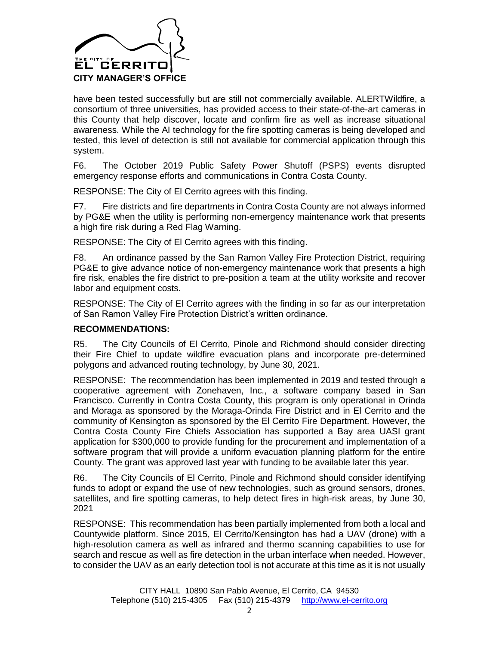

have been tested successfully but are still not commercially available. ALERTWildfire, a consortium of three universities, has provided access to their state-of-the-art cameras in this County that help discover, locate and confirm fire as well as increase situational awareness. While the AI technology for the fire spotting cameras is being developed and tested, this level of detection is still not available for commercial application through this system.

F6. The October 2019 Public Safety Power Shutoff (PSPS) events disrupted emergency response efforts and communications in Contra Costa County.

RESPONSE: The City of El Cerrito agrees with this finding.

F7. Fire districts and fire departments in Contra Costa County are not always informed by PG&E when the utility is performing non-emergency maintenance work that presents a high fire risk during a Red Flag Warning.

RESPONSE: The City of El Cerrito agrees with this finding.

F8. An ordinance passed by the San Ramon Valley Fire Protection District, requiring PG&E to give advance notice of non-emergency maintenance work that presents a high fire risk, enables the fire district to pre-position a team at the utility worksite and recover labor and equipment costs.

RESPONSE: The City of El Cerrito agrees with the finding in so far as our interpretation of San Ramon Valley Fire Protection District's written ordinance.

## **RECOMMENDATIONS:**

R5. The City Councils of El Cerrito, Pinole and Richmond should consider directing their Fire Chief to update wildfire evacuation plans and incorporate pre-determined polygons and advanced routing technology, by June 30, 2021.

RESPONSE: The recommendation has been implemented in 2019 and tested through a cooperative agreement with Zonehaven, Inc., a software company based in San Francisco. Currently in Contra Costa County, this program is only operational in Orinda and Moraga as sponsored by the Moraga-Orinda Fire District and in El Cerrito and the community of Kensington as sponsored by the El Cerrito Fire Department. However, the Contra Costa County Fire Chiefs Association has supported a Bay area UASI grant application for \$300,000 to provide funding for the procurement and implementation of a software program that will provide a uniform evacuation planning platform for the entire County. The grant was approved last year with funding to be available later this year.

R6. The City Councils of El Cerrito, Pinole and Richmond should consider identifying funds to adopt or expand the use of new technologies, such as ground sensors, drones, satellites, and fire spotting cameras, to help detect fires in high-risk areas, by June 30, 2021

RESPONSE: This recommendation has been partially implemented from both a local and Countywide platform. Since 2015, El Cerrito/Kensington has had a UAV (drone) with a high-resolution camera as well as infrared and thermo scanning capabilities to use for search and rescue as well as fire detection in the urban interface when needed. However, to consider the UAV as an early detection tool is not accurate at this time as it is not usually